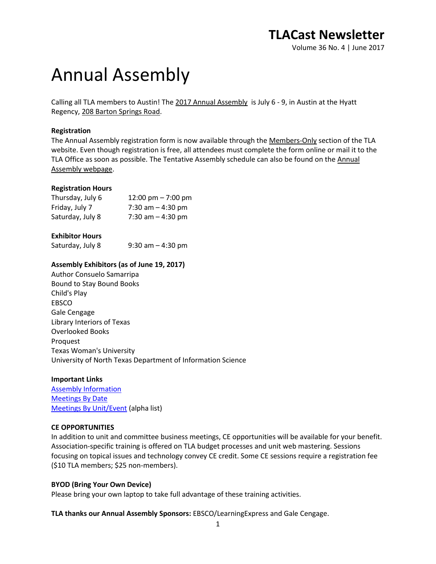# Annual Assembly

Calling all TLA members to Austin! The 2017 [Annual Assembly](http://www.txla.org/annual-assembly-highlights) is July 6 - 9, in Austin at the Hyatt Regency[, 208 Barton Springs Road.](https://www.google.com/maps/place/208+Barton+Springs+Rd,+Austin,+TX+78704/@30.2607812,-97.7467951,17z/data=%213m1%214b1%214m2%213m1%211s0x8644b506849aea93:0x3fd6d6f9e87bcf4)

#### **Registration**

The Annual Assembly registration form is now available through the [Members-Only](http://www.txla.org/members-only) section of the TLA website. Even though registration is free, all attendees must complete the form online or mail it to the TLA Office as soon as possible. The Tentative Assembly schedule can also be found on the [Annual](http://www.txla.org/annual-assembly-highlights)  [Assembly webpage.](http://www.txla.org/annual-assembly-highlights)

#### **Registration Hours**

| Thursday, July 6 | 12:00 pm $-7:00$ pm |
|------------------|---------------------|
| Friday, July 7   | 7:30 am $-$ 4:30 pm |
| Saturday, July 8 | 7:30 am $-$ 4:30 pm |

#### **Exhibitor Hours**

Saturday, July 8  $9:30$  am  $-4:30$  pm

#### **Assembly Exhibitors (as of June 19, 2017)**

Author Consuelo Samarripa Bound to Stay Bound Books Child's Play EBSCO Gale Cengage Library Interiors of Texas Overlooked Books Proquest Texas Woman's University University of North Texas Department of Information Science

#### **Important Links**

[Assembly Information](http://www.txla.org/annual-assembly-highlights) **[Meetings By Date](http://www.txla.org/sites/tla/files/assembly/docs/Report%20_%20DayTime.pdf)** [Meetings By Unit/Event](http://www.txla.org/sites/tla/files/assembly/docs/Report%20_%20Event%20Name.pdf) (alpha list)

#### **CE OPPORTUNITIES**

In addition to unit and committee business meetings, CE opportunities will be available for your benefit. Association-specific training is offered on TLA budget processes and unit web mastering. Sessions focusing on topical issues and technology convey CE credit. Some CE sessions require a registration fee (\$10 TLA members; \$25 non-members).

#### **BYOD (Bring Your Own Device)**

Please bring your own laptop to take full advantage of these training activities.

**TLA thanks our Annual Assembly Sponsors:** EBSCO/LearningExpress and Gale Cengage.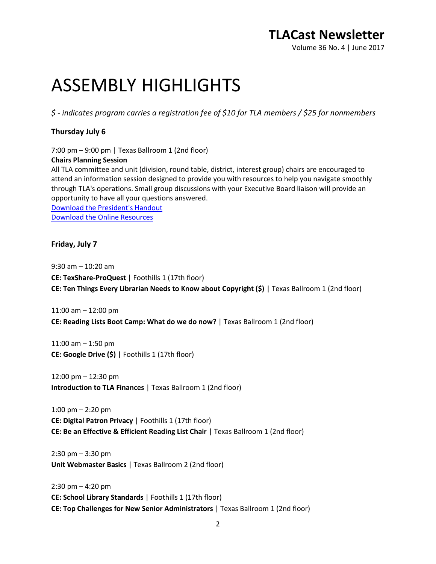Volume 36 No. 4 | June 2017

# ASSEMBLY HIGHLIGHTS

*\$ - indicates program carries a registration fee of \$10 for TLA members / \$25 for nonmembers*

#### **Thursday July 6**

7:00 pm – 9:00 pm | Texas Ballroom 1 (2nd floor)

#### **Chairs Planning Session**

All TLA committee and unit (division, round table, district, interest group) chairs are encouraged to attend an information session designed to provide you with resources to help you navigate smoothly through TLA's operations. Small group discussions with your Executive Board liaison will provide an opportunity to have all your questions answered. [Download the President's Handout](http://www.txla.org/sites/tla/files/CE/docs/ChairsPlanningOutline.pdf) [Download the Online Resources](http://www.txla.org/sites/tla/files/CE/docs/Quick%20Guide%20to%20TLA%20Officers%20Information%202017.doc)

#### **Friday, July 7**

9:30 am – 10:20 am **CE: TexShare-ProQuest** | Foothills 1 (17th floor) **CE: Ten Things Every Librarian Needs to Know about Copyright (\$)** | Texas Ballroom 1 (2nd floor)

11:00 am – 12:00 pm **CE: Reading Lists Boot Camp: What do we do now?** | Texas Ballroom 1 (2nd floor)

11:00 am – 1:50 pm **CE: Google Drive (\$)** | Foothills 1 (17th floor)

12:00 pm – 12:30 pm **Introduction to TLA Finances** | Texas Ballroom 1 (2nd floor)

1:00 pm – 2:20 pm **CE: Digital Patron Privacy** | Foothills 1 (17th floor) **CE: Be an Effective & Efficient Reading List Chair** | Texas Ballroom 1 (2nd floor)

2:30 pm – 3:30 pm **Unit Webmaster Basics** | Texas Ballroom 2 (2nd floor)

2:30 pm – 4:20 pm **CE: School Library Standards** | Foothills 1 (17th floor) **CE: Top Challenges for New Senior Administrators** | Texas Ballroom 1 (2nd floor)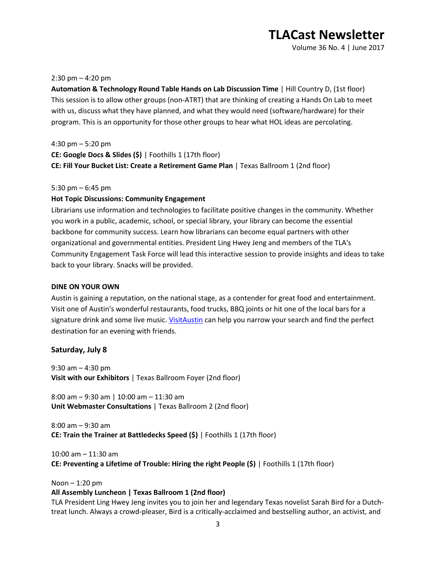Volume 36 No. 4 | June 2017

#### 2:30 pm  $-$  4:20 pm

**Automation & Technology Round Table Hands on Lab Discussion Time** | Hill Country D, (1st floor) This session is to allow other groups (non-ATRT) that are thinking of creating a Hands On Lab to meet with us, discuss what they have planned, and what they would need (software/hardware) for their program. This is an opportunity for those other groups to hear what HOL ideas are percolating.

4:30 pm – 5:20 pm **CE: Google Docs & Slides (\$)** | Foothills 1 (17th floor) **CE: Fill Your Bucket List: Create a Retirement Game Plan** | Texas Ballroom 1 (2nd floor)

#### 5:30 pm – 6:45 pm

#### **Hot Topic Discussions: Community Engagement**

Librarians use information and technologies to facilitate positive changes in the community. Whether you work in a public, academic, school, or special library, your library can become the essential backbone for community success. Learn how librarians can become equal partners with other organizational and governmental entities. President Ling Hwey Jeng and members of the TLA's Community Engagement Task Force will lead this interactive session to provide insights and ideas to take back to your library. Snacks will be provided.

#### **DINE ON YOUR OWN**

Austin is gaining a reputation, on the national stage, as a contender for great food and entertainment. Visit one of Austin's wonderful restaurants, food trucks, BBQ joints or hit one of the local bars for a signature drink and some live music. [VisitAustin](https://www.austintexas.org/visit/food-and-drink/) can help you narrow your search and find the perfect destination for an evening with friends.

#### **Saturday, July 8**

9:30 am – 4:30 pm **Visit with our Exhibitors** | Texas Ballroom Foyer (2nd floor)

8:00 am – 9:30 am | 10:00 am – 11:30 am **Unit Webmaster Consultations** | Texas Ballroom 2 (2nd floor)

8:00 am – 9:30 am **CE: Train the Trainer at Battledecks Speed (\$)** | Foothills 1 (17th floor)

10:00 am – 11:30 am **CE: Preventing a Lifetime of Trouble: Hiring the right People (\$)** | Foothills 1 (17th floor)

Noon – 1:20 pm

#### **All Assembly Luncheon | Texas Ballroom 1 (2nd floor)**

TLA President Ling Hwey Jeng invites you to join her and legendary Texas novelist Sarah Bird for a Dutchtreat lunch. Always a crowd-pleaser, Bird is a critically-acclaimed and bestselling author, an activist, and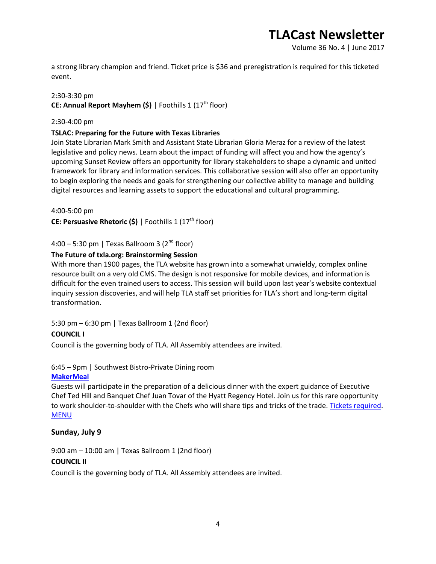Volume 36 No. 4 | June 2017

a strong library champion and friend. Ticket price is \$36 and preregistration is required for this ticketed event.

#### 2:30-3:30 pm

**CE: Annual Report Mayhem (\$) | Foothills 1 (17<sup>th</sup> floor)** 

#### 2:30-4:00 pm

#### **TSLAC: Preparing for the Future with Texas Libraries**

Join State Librarian Mark Smith and Assistant State Librarian Gloria Meraz for a review of the latest legislative and policy news. Learn about the impact of funding will affect you and how the agency's upcoming Sunset Review offers an opportunity for library stakeholders to shape a dynamic and united framework for library and information services. This collaborative session will also offer an opportunity to begin exploring the needs and goals for strengthening our collective ability to manage and building digital resources and learning assets to support the educational and cultural programming.

4:00-5:00 pm

**CE: Persuasive Rhetoric (\$) | Foothills 1 (17<sup>th</sup> floor)** 

4:00 – 5:30 pm | Texas Ballroom 3 ( $2<sup>nd</sup>$  floor)

#### **The Future of txla.org: Brainstorming Session**

With more than 1900 pages, the TLA website has grown into a somewhat unwieldy, complex online resource built on a very old CMS. The design is not responsive for mobile devices, and information is difficult for the even trained users to access. This session will build upon last year's website contextual inquiry session discoveries, and will help TLA staff set priorities for TLA's short and long-term digital transformation.

5:30 pm – 6:30 pm | Texas Ballroom 1 (2nd floor)

#### **COUNCIL I**

Council is the governing body of TLA. All Assembly attendees are invited.

#### 6:45 – 9pm | Southwest Bistro-Private Dining room

#### **[MakerMeal](http://www.txla.org/sites/tla/files/assembly/docs/2017-MakerMeal-%20invite.pdf)**

Guests will participate in the preparation of a delicious dinner with the expert guidance of Executive Chef Ted Hill and Banquet Chef Juan Tovar of the Hyatt Regency Hotel. Join us for this rare opportunity to work shoulder-to-shoulder with the Chefs who will share tips and tricks of the trade. [Tickets required.](https://secure.txla.org/secure/forms/mtgLogin.asp) **[MENU](http://www.txla.org/sites/tla/files/assembly/docs/2017-MakerMeal-%20invite.pdf)** 

#### **Sunday, July 9**

9:00 am – 10:00 am | Texas Ballroom 1 (2nd floor)

#### **COUNCIL II**

Council is the governing body of TLA. All Assembly attendees are invited.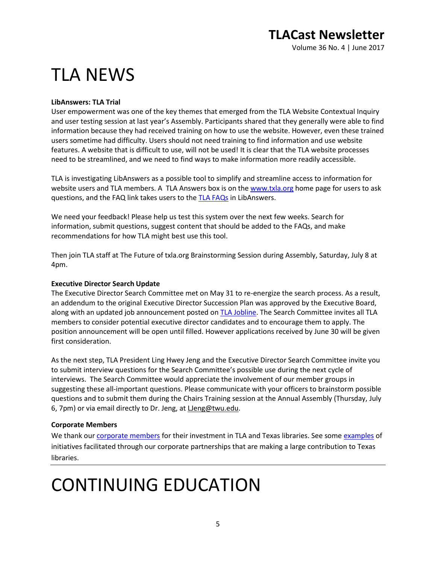Volume 36 No. 4 | June 2017

# TLA NEWS

#### **LibAnswers: TLA Trial**

User empowerment was one of the key themes that emerged from the TLA Website Contextual Inquiry and user testing session at last year's Assembly. Participants shared that they generally were able to find information because they had received training on how to use the website. However, even these trained users sometime had difficulty. Users should not need training to find information and use website features. A website that is difficult to use, will not be used! It is clear that the TLA website processes need to be streamlined, and we need to find ways to make information more readily accessible.

TLA is investigating LibAnswers as a possible tool to simplify and streamline access to information for website users and TLA members. A TLA Answers box is on the [www.txla.org](http://www.txla.org/) home page for users to ask questions, and the FAQ link takes users to the [TLA FAQs](http://txla.libanswers.com/) in LibAnswers.

We need your feedback! Please help us test this system over the next few weeks. Search for information, submit questions, suggest content that should be added to the FAQs, and make recommendations for how TLA might best use this tool.

Then join TLA staff at The Future of txla.org Brainstorming Session during Assembly, Saturday, July 8 at 4pm.

#### **Executive Director Search Update**

The Executive Director Search Committee met on May 31 to re-energize the search process. As a result, an addendum to the original Executive Director Succession Plan was approved by the Executive Board, along with an updated job announcement posted on **TLA Jobline**. The Search Committee invites all TLA members to consider potential executive director candidates and to encourage them to apply. The position announcement will be open until filled. However applications received by June 30 will be given first consideration.

As the next step, TLA President Ling Hwey Jeng and the Executive Director Search Committee invite you to submit interview questions for the Search Committee's possible use during the next cycle of interviews. The Search Committee would appreciate the involvement of our member groups in suggesting these all-important questions. Please communicate with your officers to brainstorm possible questions and to submit them during the Chairs Training session at the Annual Assembly (Thursday, July 6, 7pm) or via email directly to Dr. Jeng, a[t LJeng@twu.edu.](mailto:LJeng@twu.edu)

#### **Corporate Members**

We thank our [corporate members](http://www.txla.org/cm) for their investment in TLA and Texas libraries. See some [examples](http://www.txla.org/public-relations-campaigns) of initiatives facilitated through our corporate partnerships that are making a large contribution to Texas libraries.

# CONTINUING EDUCATION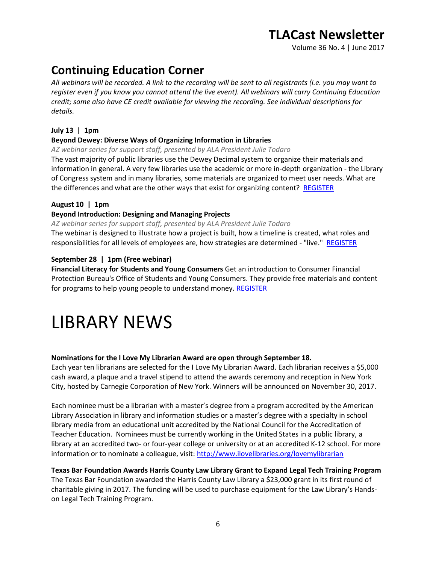Volume 36 No. 4 | June 2017

## **Continuing Education Corner**

*All webinars will be recorded. A link to the recording will be sent to all registrants (i.e. you may want to register even if you know you cannot attend the live event). All webinars will carry Continuing Education credit; some also have CE credit available for viewing the recording. See individual descriptions for details.*

#### **July 13 | 1pm**

#### **Beyond Dewey: Diverse Ways of Organizing Information in Libraries**

*AZ webinar series for support staff, presented by ALA President Julie Todaro*

The vast majority of public libraries use the Dewey Decimal system to organize their materials and information in general. A very few libraries use the academic or more in-depth organization - the Library of Congress system and in many libraries, some materials are organized to meet user needs. What are the differences and what are the other ways that exist for organizing content? [REGISTER](https://secure.txla.org/secure/forms/mtgLogin.asp)

#### **August 10 | 1pm**

#### **Beyond Introduction: Designing and Managing Projects**

*AZ webinar series for support staff, presented by ALA President Julie Todaro*

The webinar is designed to illustrate how a project is built, how a timeline is created, what roles and responsibilities for all levels of employees are, how strategies are determined - "live." [REGISTER](https://secure.txla.org/secure/forms/mtgLogin.asp)

#### **September 28 | 1pm (Free webinar)**

**Financial Literacy for Students and Young Consumers** Get an introduction to Consumer Financial Protection Bureau's Office of Students and Young Consumers. They provide free materials and content for programs to help young people to understand money. [REGISTER](https://join.onstreammedia.com/register/80146595/young)

## LIBRARY NEWS

#### **Nominations for the I Love My Librarian Award are open through September 18.**

Each year ten librarians are selected for the I Love My Librarian Award. Each librarian receives a \$5,000 cash award, a plaque and a travel stipend to attend the awards ceremony and reception in New York City, hosted by Carnegie Corporation of New York. Winners will be announced on November 30, 2017.

Each nominee must be a librarian with a master's degree from a program accredited by the American Library Association in library and information studies or a master's degree with a specialty in school library media from an educational unit accredited by the National Council for the Accreditation of Teacher Education. Nominees must be currently working in the United States in a public library, a library at an accredited two- or four-year college or university or at an accredited K-12 school. For more information or to nominate a colleague, visit:<http://www.ilovelibraries.org/lovemylibrarian>

**Texas Bar Foundation Awards Harris County Law Library Grant to Expand Legal Tech Training Program** The Texas Bar Foundation awarded the Harris County Law Library a \$23,000 grant in its first round of charitable giving in 2017. The funding will be used to purchase equipment for the Law Library's Handson Legal Tech Training Program.